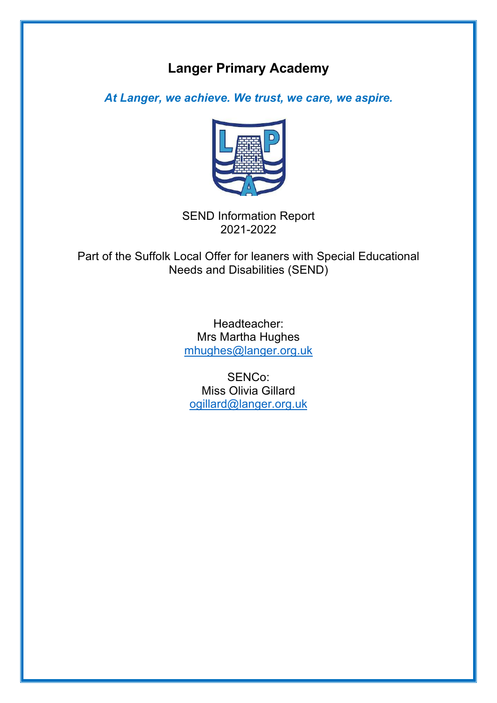# **Langer Primary Academy**

*At Langer, we achieve. We trust, we care, we aspire.*



SEND Information Report 2021-2022

Part of the Suffolk Local Offer for leaners with Special Educational Needs and Disabilities (SEND)

> Headteacher: Mrs Martha Hughes mhughes@langer.org.uk

SENCo: Miss Olivia Gillard ogillard@langer.org.uk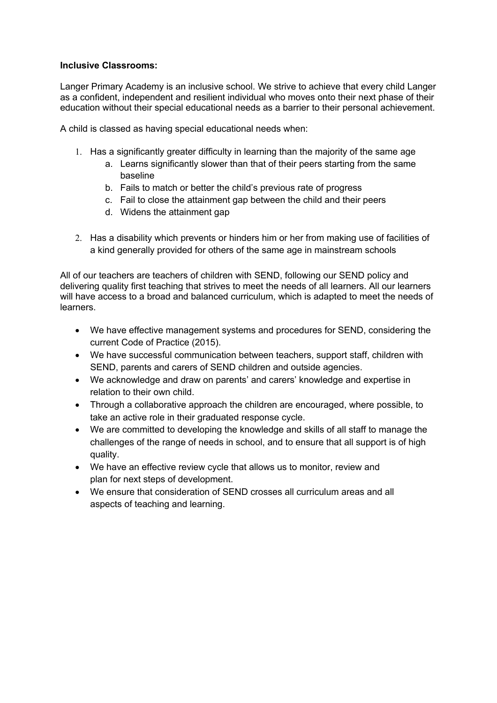# **Inclusive Classrooms:**

Langer Primary Academy is an inclusive school. We strive to achieve that every child Langer as a confident, independent and resilient individual who moves onto their next phase of their education without their special educational needs as a barrier to their personal achievement.

A child is classed as having special educational needs when:

- 1. Has a significantly greater difficulty in learning than the majority of the same age
	- a. Learns significantly slower than that of their peers starting from the same baseline
	- b. Fails to match or better the child's previous rate of progress
	- c. Fail to close the attainment gap between the child and their peers
	- d. Widens the attainment gap
- 2. Has a disability which prevents or hinders him or her from making use of facilities of a kind generally provided for others of the same age in mainstream schools

All of our teachers are teachers of children with SEND, following our SEND policy and delivering quality first teaching that strives to meet the needs of all learners. All our learners will have access to a broad and balanced curriculum, which is adapted to meet the needs of learners.

- We have effective management systems and procedures for SEND, considering the current Code of Practice (2015).
- We have successful communication between teachers, support staff, children with SEND, parents and carers of SEND children and outside agencies.
- We acknowledge and draw on parents' and carers' knowledge and expertise in relation to their own child.
- Through a collaborative approach the children are encouraged, where possible, to take an active role in their graduated response cycle.
- We are committed to developing the knowledge and skills of all staff to manage the challenges of the range of needs in school, and to ensure that all support is of high quality.
- We have an effective review cycle that allows us to monitor, review and plan for next steps of development.
- We ensure that consideration of SEND crosses all curriculum areas and all aspects of teaching and learning.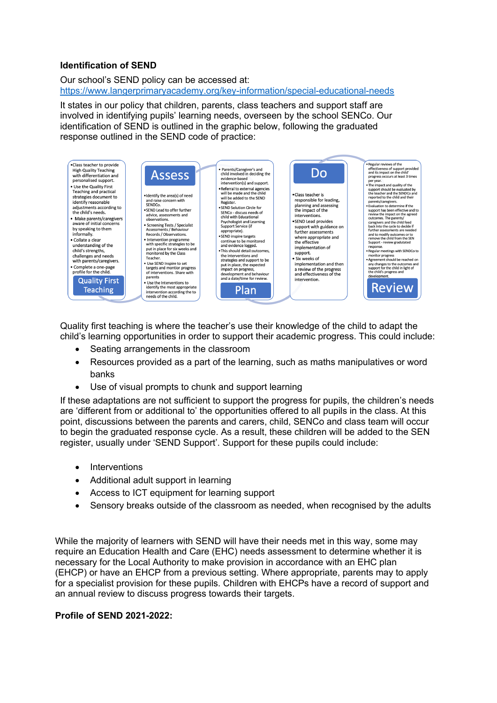# **Identification of SEND**

Our school's SEND policy can be accessed at: https://www.langerprimaryacademy.org/key-information/special-educational-needs

It states in our policy that children, parents, class teachers and support staff are involved in identifying pupils' learning needs, overseen by the school SENCo. Our identification of SEND is outlined in the graphic below, following the graduated response outlined in the SEND code of practice:



Quality first teaching is where the teacher's use their knowledge of the child to adapt the child's learning opportunities in order to support their academic progress. This could include:

- Seating arrangements in the classroom
- Resources provided as a part of the learning, such as maths manipulatives or word banks
- Use of visual prompts to chunk and support learning

If these adaptations are not sufficient to support the progress for pupils, the children's needs are 'different from or additional to' the opportunities offered to all pupils in the class. At this point, discussions between the parents and carers, child, SENCo and class team will occur to begin the graduated response cycle. As a result, these children will be added to the SEN register, usually under 'SEND Support'. Support for these pupils could include:

- Interventions
- Additional adult support in learning
- Access to ICT equipment for learning support
- Sensory breaks outside of the classroom as needed, when recognised by the adults

While the majority of learners with SEND will have their needs met in this way, some may require an Education Health and Care (EHC) needs assessment to determine whether it is necessary for the Local Authority to make provision in accordance with an EHC plan (EHCP) or have an EHCP from a previous setting. Where appropriate, parents may to apply for a specialist provision for these pupils. Children with EHCPs have a record of support and an annual review to discuss progress towards their targets.

#### **Profile of SEND 2021-2022:**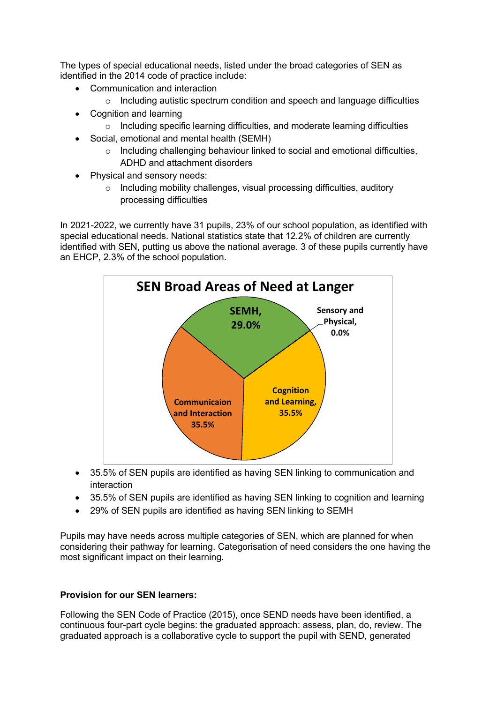The types of special educational needs, listed under the broad categories of SEN as identified in the 2014 code of practice include:

- Communication and interaction
	- o Including autistic spectrum condition and speech and language difficulties
- Cognition and learning
	- o Including specific learning difficulties, and moderate learning difficulties
- Social, emotional and mental health (SEMH)
	- o Including challenging behaviour linked to social and emotional difficulties, ADHD and attachment disorders
- Physical and sensory needs:
	- o Including mobility challenges, visual processing difficulties, auditory processing difficulties

In 2021-2022, we currently have 31 pupils, 23% of our school population, as identified with special educational needs. National statistics state that 12.2% of children are currently identified with SEN, putting us above the national average. 3 of these pupils currently have an EHCP, 2.3% of the school population.



- 35.5% of SEN pupils are identified as having SEN linking to communication and interaction
- 35.5% of SEN pupils are identified as having SEN linking to cognition and learning
- 29% of SEN pupils are identified as having SEN linking to SEMH

Pupils may have needs across multiple categories of SEN, which are planned for when considering their pathway for learning. Categorisation of need considers the one having the most significant impact on their learning.

# **Provision for our SEN learners:**

Following the SEN Code of Practice (2015), once SEND needs have been identified, a continuous four-part cycle begins: the graduated approach: assess, plan, do, review. The graduated approach is a collaborative cycle to support the pupil with SEND, generated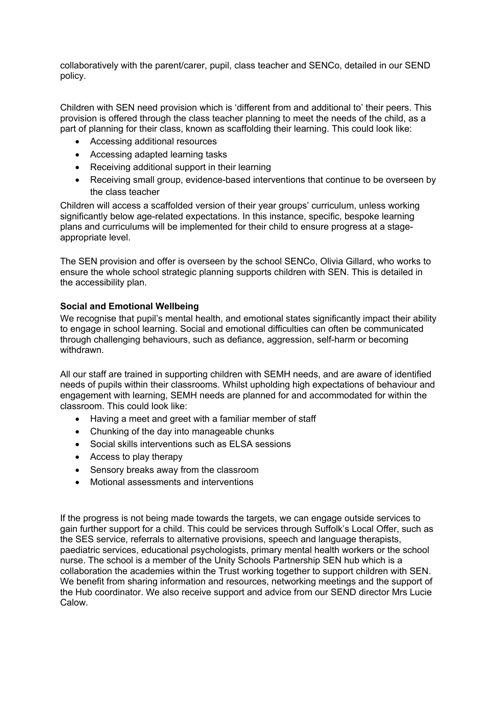collaboratively with the parent/carer, pupil, class teacher and SENCo, detailed in our SEND policy.

Children with SEN need provision which is 'different from and additional to' their peers. This provision is offered through the class teacher planning to meet the needs of the child, as a part of planning for their class, known as scaffolding their learning. This could look like:

- Accessing additional resources
- Accessing adapted learning tasks
- Receiving additional support in their learning
- Receiving small group, evidence-based interventions that continue to be overseen by the class teacher

Children will access a scaffolded version of their year groups' curriculum, unless working significantly below age-related expectations. In this instance, specific, bespoke learning plans and curriculums will be implemented for their child to ensure progress at a stageappropriate level.

The SEN provision and offer is overseen by the school SENCo, Olivia Gillard, who works to ensure the whole school strategic planning supports children with SEN. This is detailed in the accessibility plan.

# **Social and Emotional Wellbeing**

We recognise that pupil's mental health, and emotional states significantly impact their ability to engage in school learning. Social and emotional difficulties can often be communicated through challenging behaviours, such as defiance, aggression, self-harm or becoming withdrawn.

All our staff are trained in supporting children with SEMH needs, and are aware of identified needs of pupils within their classrooms. Whilst upholding high expectations of behaviour and engagement with learning, SEMH needs are planned for and accommodated for within the classroom. This could look like:

- Having a meet and greet with a familiar member of staff
- Chunking of the day into manageable chunks
- Social skills interventions such as ELSA sessions
- Access to play therapy
- Sensory breaks away from the classroom
- Motional assessments and interventions

If the progress is not being made towards the targets, we can engage outside services to gain further support for a child. This could be services through Suffolk's Local Offer, such as the SES service, referrals to alternative provisions, speech and language therapists, paediatric services, educational psychologists, primary mental health workers or the school nurse. The school is a member of the Unity Schools Partnership SEN hub which is a collaboration the academies within the Trust working together to support children with SEN. We benefit from sharing information and resources, networking meetings and the support of the Hub coordinator. We also receive support and advice from our SEND director Mrs Lucie Calow.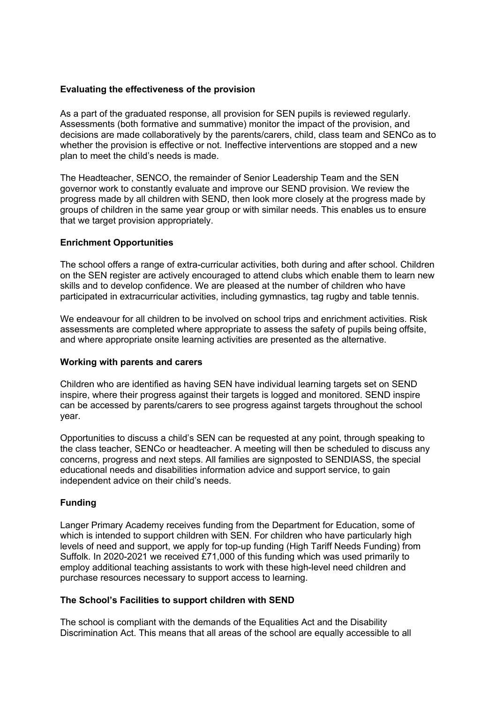#### **Evaluating the effectiveness of the provision**

As a part of the graduated response, all provision for SEN pupils is reviewed regularly. Assessments (both formative and summative) monitor the impact of the provision, and decisions are made collaboratively by the parents/carers, child, class team and SENCo as to whether the provision is effective or not. Ineffective interventions are stopped and a new plan to meet the child's needs is made.

The Headteacher, SENCO, the remainder of Senior Leadership Team and the SEN governor work to constantly evaluate and improve our SEND provision. We review the progress made by all children with SEND, then look more closely at the progress made by groups of children in the same year group or with similar needs. This enables us to ensure that we target provision appropriately.

# **Enrichment Opportunities**

The school offers a range of extra-curricular activities, both during and after school. Children on the SEN register are actively encouraged to attend clubs which enable them to learn new skills and to develop confidence. We are pleased at the number of children who have participated in extracurricular activities, including gymnastics, tag rugby and table tennis.

We endeavour for all children to be involved on school trips and enrichment activities. Risk assessments are completed where appropriate to assess the safety of pupils being offsite, and where appropriate onsite learning activities are presented as the alternative.

#### **Working with parents and carers**

Children who are identified as having SEN have individual learning targets set on SEND inspire, where their progress against their targets is logged and monitored. SEND inspire can be accessed by parents/carers to see progress against targets throughout the school year.

Opportunities to discuss a child's SEN can be requested at any point, through speaking to the class teacher, SENCo or headteacher. A meeting will then be scheduled to discuss any concerns, progress and next steps. All families are signposted to SENDIASS, the special educational needs and disabilities information advice and support service, to gain independent advice on their child's needs.

# **Funding**

Langer Primary Academy receives funding from the Department for Education, some of which is intended to support children with SEN. For children who have particularly high levels of need and support, we apply for top-up funding (High Tariff Needs Funding) from Suffolk. In 2020-2021 we received £71,000 of this funding which was used primarily to employ additional teaching assistants to work with these high-level need children and purchase resources necessary to support access to learning.

#### **The School's Facilities to support children with SEND**

The school is compliant with the demands of the Equalities Act and the Disability Discrimination Act. This means that all areas of the school are equally accessible to all